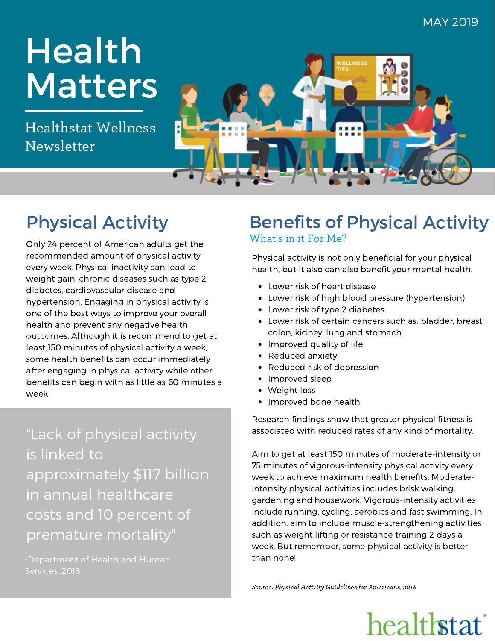# Health Matters

Healthstat Wellness Newsletter



## Physical Activity

Only 24 percent of American adults get the recommended amount of physical activity every week. Physical inactivity can lead to weight gain, chronic diseases such as type 2 diabetes, cardiovascular disease and hypertension. Engaging in physical activity is one of the best ways to improve your overall health and prevent any negative health outcomes. Although it is recommend to get at least 150 minutes of physical activity a week, some health benefits can occur immediately after engaging in physical activity while other benefits can begin with as little as 60 minutes a week.

"Lack of physical activity is linked to approximately \$117 billion in annual healthcare costs and 10 percent of premature mortality"

Services, 2018

### What's in it For Me? Benefits of Physical Activity

Physical activity is not only beneficial for your physical health, but it also can also benefit your mental health.

- Lower risk of heart disease
- Lower risk of high blood pressure (hypertension)
- Lower risk of type 2 diabetes
- Lower risk of certain cancers such as: bladder, breast, colon, kidney, lung and stomach
- Improved quality of life
- Reduced anxiety
- Reduced risk of depression
- Improved sleep
- Weight loss
- Improved bone health

Research findings show that greater physical fitness is associated with reduced rates of any kind of mortality.

Aim to get at least 150 minutes of moderate-intensity or 75 minutes of vigorous-intensity physical activity every week to achieve maximum health benefits. Moderateintensity physical activities includes brisk walking, gardening and housework. Vigorous-intensity activities include running, cycling, aerobics and fast swimming. In addition, aim to include muscle-strengthening activities such as weight lifting or resistance training 2 days a week. But remember, some physical activity is better than none!

Source: Physical Activity Guidelines for Americans, 2018

## healthstat